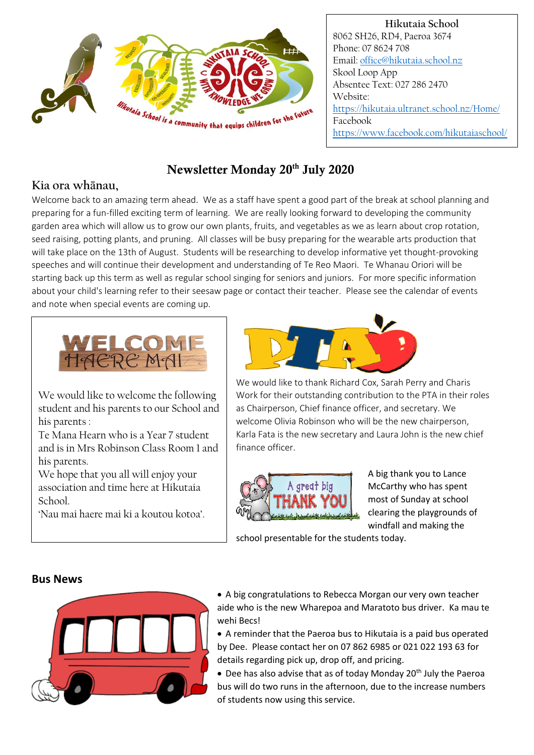

#### **Hikutaia School** 8062 SH26, RD4, Paeroa 3674 Phone: 07 8624 708 Email[: office@hikutaia.school.nz](mailto:office@hikutaia.school.nz) Skool Loop App Absentee Text: 027 286 2470 Website: <https://hikutaia.ultranet.school.nz/Home/> Facebook <https://www.facebook.com/hikutaiaschool/>

# Newsletter Monday 20th July 2020

### **Kia ora wh**ā**nau,**

Welcome back to an amazing term ahead. We as a staff have spent a good part of the break at school planning and preparing for a fun-filled exciting term of learning. We are really looking forward to developing the community garden area which will allow us to grow our own plants, fruits, and vegetables as we as learn about crop rotation, seed raising, potting plants, and pruning. All classes will be busy preparing for the wearable arts production that will take place on the 13th of August. Students will be researching to develop informative yet thought-provoking speeches and will continue their development and understanding of Te Reo Maori. Te Whanau Oriori will be starting back up this term as well as regular school singing for seniors and juniors. For more specific information about your child's learning refer to their seesaw page or contact their teacher. Please see the calendar of events and note when special events are coming up.



We would like to welcome the following student and his parents to our School and his parents :

Te Mana Hearn who is a Year 7 student and is in Mrs Robinson Class Room 1 and his parents.

We hope that you all will enjoy your association and time here at Hikutaia School.

'Nau mai haere mai ki a koutou kotoa'.



We would like to thank Richard Cox, Sarah Perry and Charis Work for their outstanding contribution to the PTA in their roles as Chairperson, Chief finance officer, and secretary. We welcome Olivia Robinson who will be the new chairperson, Karla Fata is the new secretary and Laura John is the new chief finance officer.



A big thank you to Lance McCarthy who has spent most of Sunday at school clearing the playgrounds of windfall and making the

school presentable for the students today.

#### **Bus News**



- A big congratulations to Rebecca Morgan our very own teacher aide who is the new Wharepoa and Maratoto bus driver. Ka mau te wehi Becs!
- A reminder that the Paeroa bus to Hikutaia is a paid bus operated by Dee. Please contact her on 07 862 6985 or 021 022 193 63 for details regarding pick up, drop off, and pricing.
- $\bullet$  Dee has also advise that as of today Monday 20<sup>th</sup> July the Paeroa bus will do two runs in the afternoon, due to the increase numbers of students now using this service.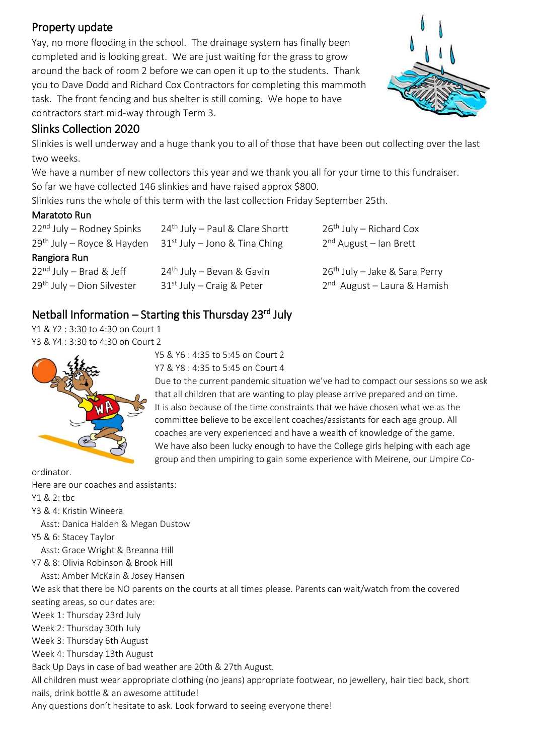## Property update

Yay, no more flooding in the school. The drainage system has finally been completed and is looking great. We are just waiting for the grass to grow around the back of room 2 before we can open it up to the students. Thank you to Dave Dodd and Richard Cox Contractors for completing this mammoth task. The front fencing and bus shelter is still coming. We hope to have contractors start mid-way through Term 3.



## Slinks Collection 2020

Slinkies is well underway and a huge thank you to all of those that have been out collecting over the last two weeks.

We have a number of new collectors this year and we thank you all for your time to this fundraiser. So far we have collected 146 slinkies and have raised approx \$800.

Slinkies runs the whole of this term with the last collection Friday September 25th.

#### Maratoto Run

| $22nd$ July – Rodney Spinks  | $24th$ July – Paul & Clare Shortt | $26th$ July – Richard Cox       |
|------------------------------|-----------------------------------|---------------------------------|
| $29th$ July – Royce & Hayden | $31st$ July – Jono & Tina Ching   | $2nd$ August – Ian Brett        |
| Rangiora Run                 |                                   |                                 |
| $22nd$ July – Brad & Jeff    | $24th$ July – Bevan & Gavin       | $26th$ July – Jake & Sara Perry |
| $29th$ July – Dion Silvester | $31st$ July – Craig & Peter       | $2nd$ August – Laura & Hamish   |

## Netball Information – Starting this Thursday 23<sup>rd</sup> July

Y1 & Y2 : 3:30 to 4:30 on Court 1 Y3 & Y4 : 3:30 to 4:30 on Court 2



Y5 & Y6 : 4:35 to 5:45 on Court 2

Y7 & Y8 : 4:35 to 5:45 on Court 4

Due to the current pandemic situation we've had to compact our sessions so we ask that all children that are wanting to play please arrive prepared and on time. It is also because of the time constraints that we have chosen what we as the committee believe to be excellent coaches/assistants for each age group. All coaches are very experienced and have a wealth of knowledge of the game. We have also been lucky enough to have the College girls helping with each age group and then umpiring to gain some experience with Meirene, our Umpire Co-

ordinator. Here are our coaches and assistants: Y1 & 2: tbc Y3 & 4: Kristin Wineera Asst: Danica Halden & Megan Dustow Y5 & 6: Stacey Taylor Asst: Grace Wright & Breanna Hill Y7 & 8: Olivia Robinson & Brook Hill Asst: Amber McKain & Josey Hansen We ask that there be NO parents on the courts at all times please. Parents can wait/watch from the covered seating areas, so our dates are: Week 1: Thursday 23rd July Week 2: Thursday 30th July Week 3: Thursday 6th August Week 4: Thursday 13th August Back Up Days in case of bad weather are 20th & 27th August. All children must wear appropriate clothing (no jeans) appropriate footwear, no jewellery, hair tied back, short nails, drink bottle & an awesome attitude! Any questions don't hesitate to ask. Look forward to seeing everyone there!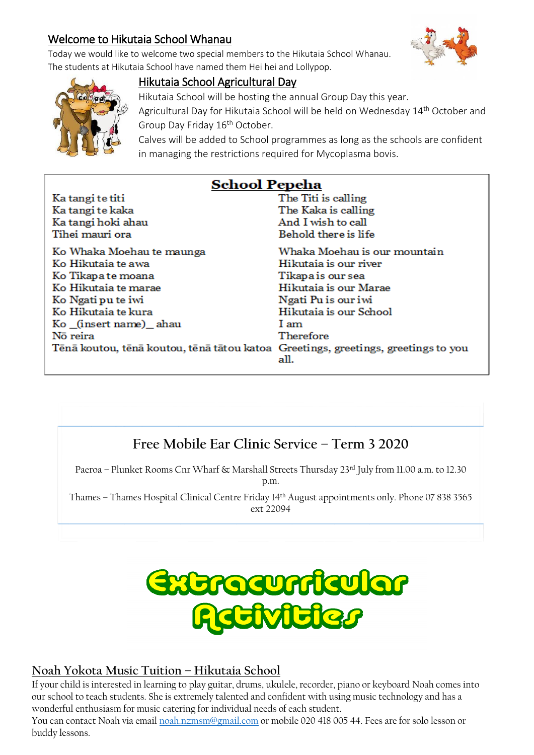## Welcome to Hikutaia School Whanau

Today we would like to welcome two special members to the Hikutaia School Whanau. The students at Hikutaia School have named them Hei hei and Lollypop.





### Hikutaia School Agricultural Day

Hikutaia School will be hosting the annual Group Day this year.

Agricultural Day for Hikutaia School will be held on Wednesday 14<sup>th</sup> October and Group Day Friday 16<sup>th</sup> October.

Calves will be added to School programmes as long as the schools are confident in managing the restrictions required for Mycoplasma bovis.

| <b>School Pepeha</b>                                                              |                              |  |  |
|-----------------------------------------------------------------------------------|------------------------------|--|--|
| Ka tangi te titi                                                                  | The Titi is calling          |  |  |
| Ka tangi te kaka                                                                  | The Kaka is calling          |  |  |
| Ka tangi hoki ahau                                                                | And I wish to call           |  |  |
| Tihei mauri ora                                                                   | Behold there is life         |  |  |
| Ko Whaka Moehau te maunga                                                         | Whaka Moehau is our mountain |  |  |
| Ko Hikutaja te awa                                                                | Hikutaia is our river        |  |  |
| Ko Tikapa te moana                                                                | Tikapa is our sea            |  |  |
| Ko Hikutaia te marae                                                              | Hikutaia is our Marae        |  |  |
| Ko Ngati pu te iwi                                                                | Ngati Pu is our iwi          |  |  |
| Ko Hikutaia te kura                                                               | Hikutaia is our School       |  |  |
| Ko (insert name) ahau                                                             | I am                         |  |  |
| Nõ reira                                                                          | Therefore                    |  |  |
| Tēnā koutou, tēnā koutou, tēnā tātou katoa Greetings, greetings, greetings to you | all.                         |  |  |

# **Free Mobile Ear Clinic Service – Term 3 2020**

Paeroa – Plunket Rooms Cnr Wharf & Marshall Streets Thursday 23rd July from 11.00 a.m. to 12.30 p.m.

Thames – Thames Hospital Clinical Centre Friday 14th August appointments only. Phone 07 838 3565 ext 22094



### **Noah Yokota Music Tuition – Hikutaia School**

If your child is interested in learning to play guitar, drums, ukulele, recorder, piano or keyboard Noah comes into our school to teach students. She is extremely talented and confident with using music technology and has a wonderful enthusiasm for music catering for individual needs of each student.

You can contact Noah via emai[l noah.nzmsm@gmail.com](mailto:noah.nzmsm@gmail.com) or mobile 020 418 005 44. Fees are for solo lesson or buddy lessons.